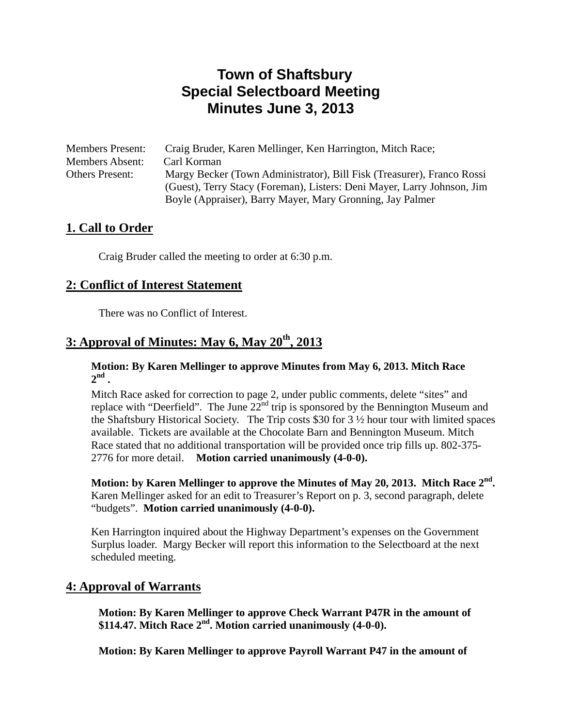# **Town of Shaftsbury Special Selectboard Meeting Minutes June 3, 2013**

| <b>Members Present:</b> | Craig Bruder, Karen Mellinger, Ken Harrington, Mitch Race;              |
|-------------------------|-------------------------------------------------------------------------|
| <b>Members Absent:</b>  | Carl Korman                                                             |
| <b>Others Present:</b>  | Margy Becker (Town Administrator), Bill Fisk (Treasurer), Franco Rossi  |
|                         | (Guest), Terry Stacy (Foreman), Listers: Deni Mayer, Larry Johnson, Jim |
|                         | Boyle (Appraiser), Barry Mayer, Mary Gronning, Jay Palmer               |

## **1. Call to Order**

Craig Bruder called the meeting to order at 6:30 p.m.

## **2: Conflict of Interest Statement**

There was no Conflict of Interest.

## **3: Approval of Minutes: May 6, May 20th, 2013**

#### **Motion: By Karen Mellinger to approve Minutes from May 6, 2013. Mitch Race**   $2^{nd}$ .

Mitch Race asked for correction to page 2, under public comments, delete "sites" and replace with "Deerfield". The June  $22<sup>nd</sup>$  trip is sponsored by the Bennington Museum and the Shaftsbury Historical Society. The Trip costs \$30 for 3 ½ hour tour with limited spaces available. Tickets are available at the Chocolate Barn and Bennington Museum. Mitch Race stated that no additional transportation will be provided once trip fills up. 802-375- 2776 for more detail. **Motion carried unanimously (4-0-0).**

**Motion: by Karen Mellinger to approve the Minutes of May 20, 2013. Mitch Race 2nd.**  Karen Mellinger asked for an edit to Treasurer's Report on p. 3, second paragraph, delete "budgets". **Motion carried unanimously (4-0-0).** 

Ken Harrington inquired about the Highway Department's expenses on the Government Surplus loader. Margy Becker will report this information to the Selectboard at the next scheduled meeting.

## **4: Approval of Warrants**

 **Motion: By Karen Mellinger to approve Check Warrant P47R in the amount of \$114.47. Mitch Race 2nd. Motion carried unanimously (4-0-0).** 

 **Motion: By Karen Mellinger to approve Payroll Warrant P47 in the amount of**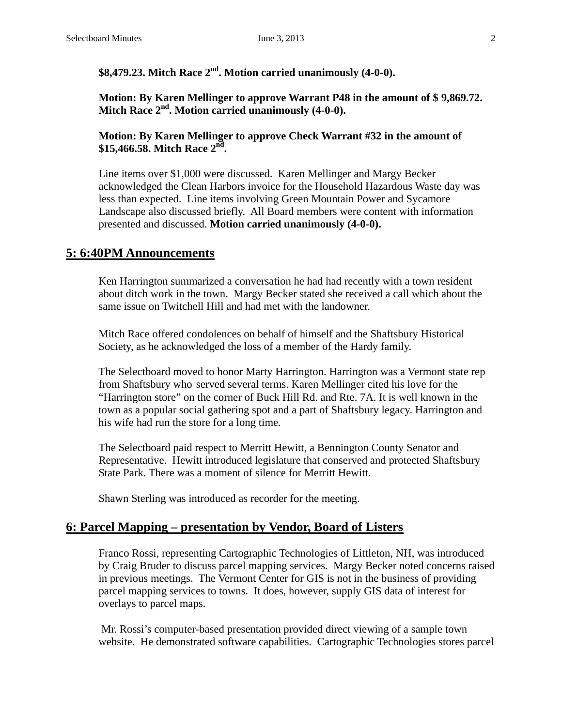## \$8,479.23. Mitch Race 2<sup>nd</sup>. Motion carried unanimously (4-0-0).

 **Motion: By Karen Mellinger to approve Warrant P48 in the amount of \$ 9,869.72. Mitch Race 2nd. Motion carried unanimously (4-0-0).**

#### **Motion: By Karen Mellinger to approve Check Warrant #32 in the amount of**  \$15,466.58. Mitch Race 2<sup>nd</sup>.

Line items over \$1,000 were discussed. Karen Mellinger and Margy Becker acknowledged the Clean Harbors invoice for the Household Hazardous Waste day was less than expected. Line items involving Green Mountain Power and Sycamore Landscape also discussed briefly. All Board members were content with information presented and discussed. **Motion carried unanimously (4-0-0).**

### **5: 6:40PM Announcements**

Ken Harrington summarized a conversation he had had recently with a town resident about ditch work in the town. Margy Becker stated she received a call which about the same issue on Twitchell Hill and had met with the landowner.

Mitch Race offered condolences on behalf of himself and the Shaftsbury Historical Society, as he acknowledged the loss of a member of the Hardy family.

The Selectboard moved to honor Marty Harrington. Harrington was a Vermont state rep from Shaftsbury who served several terms. Karen Mellinger cited his love for the "Harrington store" on the corner of Buck Hill Rd. and Rte. 7A. It is well known in the town as a popular social gathering spot and a part of Shaftsbury legacy. Harrington and his wife had run the store for a long time.

 The Selectboard paid respect to Merritt Hewitt, a Bennington County Senator and Representative. Hewitt introduced legislature that conserved and protected Shaftsbury State Park. There was a moment of silence for Merritt Hewitt.

Shawn Sterling was introduced as recorder for the meeting.

#### **6: Parcel Mapping – presentation by Vendor, Board of Listers**

Franco Rossi, representing Cartographic Technologies of Littleton, NH, was introduced by Craig Bruder to discuss parcel mapping services. Margy Becker noted concerns raised in previous meetings. The Vermont Center for GIS is not in the business of providing parcel mapping services to towns. It does, however, supply GIS data of interest for overlays to parcel maps.

 Mr. Rossi's computer-based presentation provided direct viewing of a sample town website. He demonstrated software capabilities. Cartographic Technologies stores parcel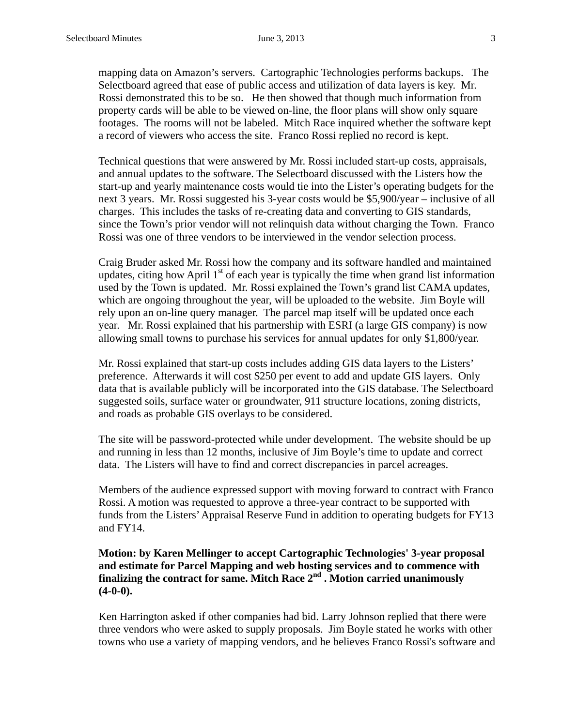mapping data on Amazon's servers. Cartographic Technologies performs backups. The Selectboard agreed that ease of public access and utilization of data layers is key. Mr. Rossi demonstrated this to be so. He then showed that though much information from property cards will be able to be viewed on-line, the floor plans will show only square footages. The rooms will not be labeled. Mitch Race inquired whether the software kept a record of viewers who access the site. Franco Rossi replied no record is kept.

Technical questions that were answered by Mr. Rossi included start-up costs, appraisals, and annual updates to the software. The Selectboard discussed with the Listers how the start-up and yearly maintenance costs would tie into the Lister's operating budgets for the next 3 years. Mr. Rossi suggested his 3-year costs would be \$5,900/year – inclusive of all charges. This includes the tasks of re-creating data and converting to GIS standards, since the Town's prior vendor will not relinquish data without charging the Town. Franco Rossi was one of three vendors to be interviewed in the vendor selection process.

Craig Bruder asked Mr. Rossi how the company and its software handled and maintained updates, citing how April  $1<sup>st</sup>$  of each year is typically the time when grand list information used by the Town is updated. Mr. Rossi explained the Town's grand list CAMA updates, which are ongoing throughout the year, will be uploaded to the website. Jim Boyle will rely upon an on-line query manager. The parcel map itself will be updated once each year. Mr. Rossi explained that his partnership with ESRI (a large GIS company) is now allowing small towns to purchase his services for annual updates for only \$1,800/year.

Mr. Rossi explained that start-up costs includes adding GIS data layers to the Listers' preference. Afterwards it will cost \$250 per event to add and update GIS layers. Only data that is available publicly will be incorporated into the GIS database. The Selectboard suggested soils, surface water or groundwater, 911 structure locations, zoning districts, and roads as probable GIS overlays to be considered.

The site will be password-protected while under development. The website should be up and running in less than 12 months, inclusive of Jim Boyle's time to update and correct data. The Listers will have to find and correct discrepancies in parcel acreages.

Members of the audience expressed support with moving forward to contract with Franco Rossi. A motion was requested to approve a three-year contract to be supported with funds from the Listers' Appraisal Reserve Fund in addition to operating budgets for FY13 and FY14.

#### **Motion: by Karen Mellinger to accept Cartographic Technologies' 3-year proposal and estimate for Parcel Mapping and web hosting services and to commence with finalizing the contract for same. Mitch Race 2<sup>nd</sup> . Motion carried unanimously (4-0-0).**

 Ken Harrington asked if other companies had bid. Larry Johnson replied that there were three vendors who were asked to supply proposals. Jim Boyle stated he works with other towns who use a variety of mapping vendors, and he believes Franco Rossi's software and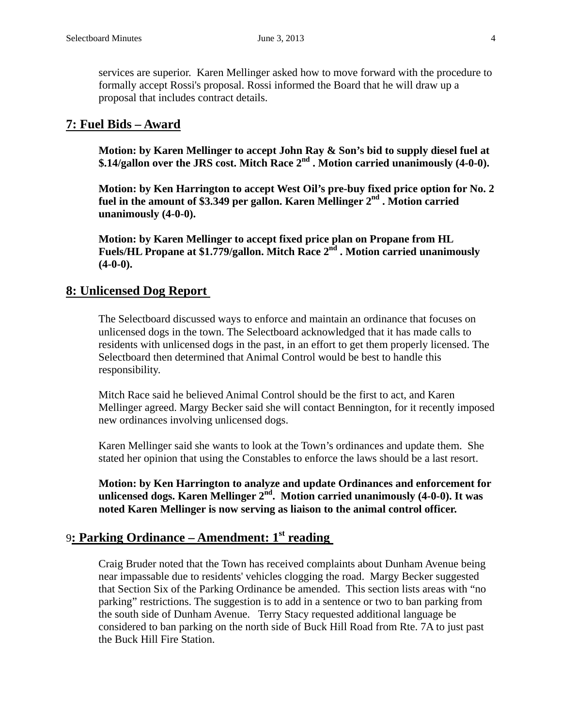services are superior. Karen Mellinger asked how to move forward with the procedure to formally accept Rossi's proposal. Rossi informed the Board that he will draw up a proposal that includes contract details.

#### **7: Fuel Bids – Award**

 **Motion: by Karen Mellinger to accept John Ray & Son's bid to supply diesel fuel at \$.14/gallon over the JRS cost. Mitch Race 2nd . Motion carried unanimously (4-0-0).**

 **Motion: by Ken Harrington to accept West Oil's pre-buy fixed price option for No. 2**  fuel in the amount of \$3.349 per gallon. Karen Mellinger 2<sup>nd</sup>. Motion carried  **unanimously (4-0-0).** 

 **Motion: by Karen Mellinger to accept fixed price plan on Propane from HL**  Fuels/HL Propane at \$1.779/gallon. Mitch Race 2<sup>nd</sup> . Motion carried unanimously  **(4-0-0).**

#### **8: Unlicensed Dog Report**

The Selectboard discussed ways to enforce and maintain an ordinance that focuses on unlicensed dogs in the town. The Selectboard acknowledged that it has made calls to residents with unlicensed dogs in the past, in an effort to get them properly licensed. The Selectboard then determined that Animal Control would be best to handle this responsibility.

Mitch Race said he believed Animal Control should be the first to act, and Karen Mellinger agreed. Margy Becker said she will contact Bennington, for it recently imposed new ordinances involving unlicensed dogs.

Karen Mellinger said she wants to look at the Town's ordinances and update them. She stated her opinion that using the Constables to enforce the laws should be a last resort.

 **Motion: by Ken Harrington to analyze and update Ordinances and enforcement for**  unlicensed dogs. Karen Mellinger 2<sup>nd</sup>. Motion carried unanimously (4-0-0). It was  **noted Karen Mellinger is now serving as liaison to the animal control officer.**

## 9**: Parking Ordinance – Amendment: 1st reading**

Craig Bruder noted that the Town has received complaints about Dunham Avenue being near impassable due to residents' vehicles clogging the road. Margy Becker suggested that Section Six of the Parking Ordinance be amended. This section lists areas with "no parking" restrictions. The suggestion is to add in a sentence or two to ban parking from the south side of Dunham Avenue. Terry Stacy requested additional language be considered to ban parking on the north side of Buck Hill Road from Rte. 7A to just past the Buck Hill Fire Station.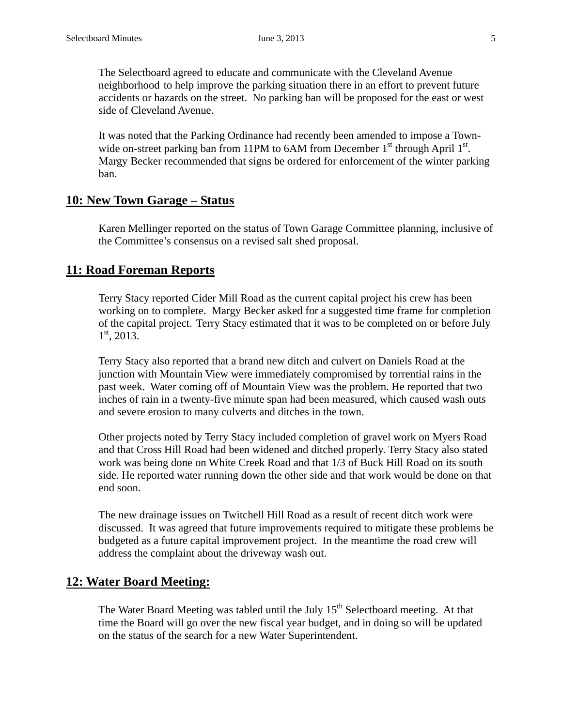The Selectboard agreed to educate and communicate with the Cleveland Avenue neighborhood to help improve the parking situation there in an effort to prevent future accidents or hazards on the street. No parking ban will be proposed for the east or west side of Cleveland Avenue.

It was noted that the Parking Ordinance had recently been amended to impose a Townwide on-street parking ban from 11PM to  $6AM$  from December  $1<sup>st</sup>$  through April  $1<sup>st</sup>$ . Margy Becker recommended that signs be ordered for enforcement of the winter parking ban.

#### **10: New Town Garage – Status**

Karen Mellinger reported on the status of Town Garage Committee planning, inclusive of the Committee's consensus on a revised salt shed proposal.

#### **11: Road Foreman Reports**

Terry Stacy reported Cider Mill Road as the current capital project his crew has been working on to complete. Margy Becker asked for a suggested time frame for completion of the capital project. Terry Stacy estimated that it was to be completed on or before July  $1<sup>st</sup>$ , 2013.

Terry Stacy also reported that a brand new ditch and culvert on Daniels Road at the junction with Mountain View were immediately compromised by torrential rains in the past week. Water coming off of Mountain View was the problem. He reported that two inches of rain in a twenty-five minute span had been measured, which caused wash outs and severe erosion to many culverts and ditches in the town.

Other projects noted by Terry Stacy included completion of gravel work on Myers Road and that Cross Hill Road had been widened and ditched properly. Terry Stacy also stated work was being done on White Creek Road and that 1/3 of Buck Hill Road on its south side. He reported water running down the other side and that work would be done on that end soon.

The new drainage issues on Twitchell Hill Road as a result of recent ditch work were discussed. It was agreed that future improvements required to mitigate these problems be budgeted as a future capital improvement project. In the meantime the road crew will address the complaint about the driveway wash out.

#### **12: Water Board Meeting:**

The Water Board Meeting was tabled until the July  $15<sup>th</sup>$  Selectboard meeting. At that time the Board will go over the new fiscal year budget, and in doing so will be updated on the status of the search for a new Water Superintendent.